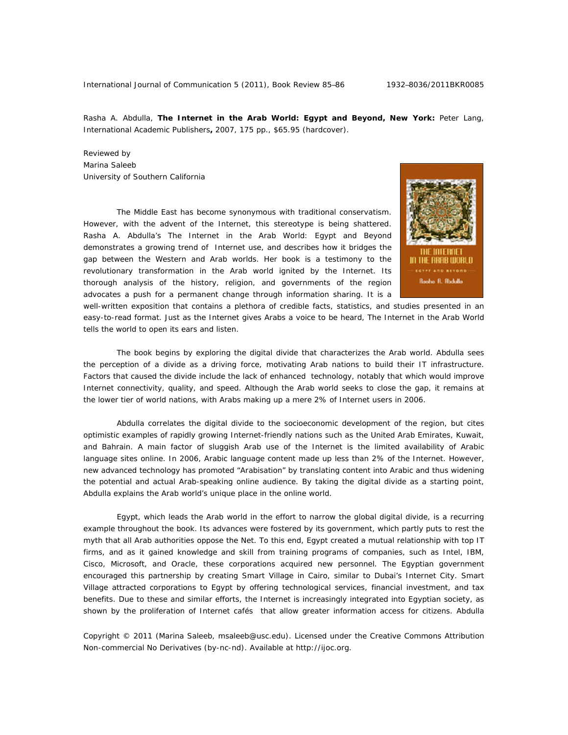Rasha A. Abdulla, **The Internet in the Arab World: Egypt and Beyond, New York:** Peter Lang, International Academic Publishers**,** 2007, 175 pp., \$65.95 (hardcover).

Reviewed by Marina Saleeb University of Southern California

The Middle East has become synonymous with traditional conservatism. However, with the advent of the Internet, this stereotype is being shattered. Rasha A. Abdulla's *The Internet in the Arab World: Egypt and Beyond* demonstrates a growing trend of Internet use, and describes how it bridges the gap between the Western and Arab worlds. Her book is a testimony to the revolutionary transformation in the Arab world ignited by the Internet. Its thorough analysis of the history, religion, and governments of the region advocates a push for a permanent change through information sharing. It is a



well-written exposition that contains a plethora of credible facts, statistics, and studies presented in an easy-to-read format. Just as the Internet gives Arabs a voice to be heard, *The Internet in the Arab World* tells the world to open its ears and listen.

The book begins by exploring the digital divide that characterizes the Arab world. Abdulla sees the perception of a divide as a driving force, motivating Arab nations to build their IT infrastructure. Factors that caused the divide include the lack of enhanced technology, notably that which would improve Internet connectivity, quality, and speed. Although the Arab world seeks to close the gap, it remains at the lower tier of world nations, with Arabs making up a mere 2% of Internet users in 2006.

Abdulla correlates the digital divide to the socioeconomic development of the region, but cites optimistic examples of rapidly growing Internet-friendly nations such as the United Arab Emirates, Kuwait, and Bahrain. A main factor of sluggish Arab use of the Internet is the limited availability of Arabic language sites online. In 2006, Arabic language content made up less than 2% of the Internet. However, new advanced technology has promoted "Arabisation" by translating content into Arabic and thus widening the potential and actual Arab-speaking online audience. By taking the digital divide as a starting point, Abdulla explains the Arab world's unique place in the online world.

Egypt, which leads the Arab world in the effort to narrow the global digital divide, is a recurring example throughout the book. Its advances were fostered by its government, which partly puts to rest the myth that all Arab authorities oppose the Net. To this end, Egypt created a mutual relationship with top IT firms, and as it gained knowledge and skill from training programs of companies, such as Intel, IBM, Cisco, Microsoft, and Oracle, these corporations acquired new personnel. The Egyptian government encouraged this partnership by creating Smart Village in Cairo, similar to Dubai's Internet City. Smart Village attracted corporations to Egypt by offering technological services, financial investment, and tax benefits. Due to these and similar efforts, the Internet is increasingly integrated into Egyptian society, as shown by the proliferation of Internet cafés that allow greater information access for citizens. Abdulla

Copyright © 2011 (Marina Saleeb, msaleeb@usc.edu). Licensed under the Creative Commons Attribution Non-commercial No Derivatives (by-nc-nd). Available at http://ijoc.org.